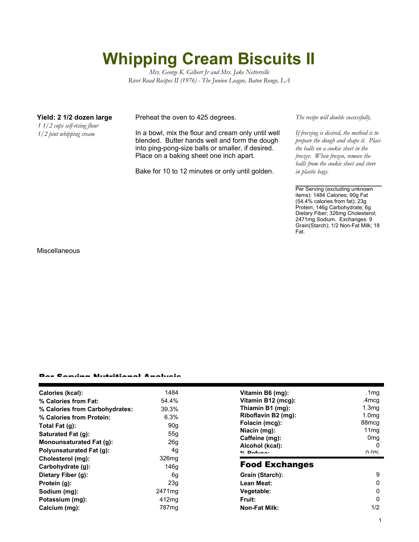## **Whipping Cream Biscuits II**

*Mrs. George K. Gilbert Jr and Mrs. Jake Netterville River Road Recipes II (1976) - The Junion League, Baton Rouge, LA*

*1 1/2 cups self-rising flour 1/2 pint whipping cream*

**Yield: 2 1/2 dozen large** Preheat the oven to 425 degrees.

In a bowl, mix the flour and cream only until well blended. Butter hands well and form the dough into ping-pong-size balls or smaller, if desired. Place on a baking sheet one inch apart.

Bake for 10 to 12 minutes or only until golden.

*The recipe will double successfully.*

*If freezing is desired, the method is to prepare the dough and shape it. Place the balls on a cookie sheet in the freezer. When frozen, remove the balls from the cookie sheet and store in plastic bags.*

Per Serving (excluding unknown items): 1484 Calories; 90g Fat (54.4% calories from fat); 23g Protein; 146g Carbohydrate; 6g Dietary Fiber; 326mg Cholesterol; 2471mg Sodium. Exchanges: 9 Grain(Starch); 1/2 Non-Fat Milk; 18 Fat.

Miscellaneous

## Per Serving Nutritional Analysis

| Calories (kcal):                | 1484               | Vitamin B6 (mg):      | .1 $mg$           |
|---------------------------------|--------------------|-----------------------|-------------------|
| % Calories from Fat:            | 54.4%              | Vitamin B12 (mcg):    | .4mcg             |
| % Calories from Carbohydrates:  | 39.3%              | Thiamin B1 (mg):      | 1.3 <sub>mg</sub> |
| % Calories from Protein:        | 6.3%               | Riboflavin B2 (mg):   | 1.0 <sub>mg</sub> |
| Total Fat (g):                  | 90 <sub>g</sub>    | Folacin (mcg):        | 88 <sub>mcg</sub> |
| Saturated Fat (g):              | 55q                | Niacin (mg):          | 11 <sub>mg</sub>  |
| <b>Monounsaturated Fat (g):</b> | 26 <sub>g</sub>    | Caffeine (mg):        | 0 <sub>mq</sub>   |
|                                 |                    | Alcohol (kcal):       | O                 |
| <b>Polyunsaturated Fat (g):</b> | 4g                 | $0/$ Dofuso:          | በ በ%              |
| Cholesterol (mg):               | 326 <sub>mg</sub>  |                       |                   |
| Carbohydrate (g):               | 146g               | <b>Food Exchanges</b> |                   |
| Dietary Fiber (g):              | 6g                 | Grain (Starch):       | 9                 |
| Protein (g):                    | 23 <sub>g</sub>    | Lean Meat:            | 0                 |
| Sodium (mg):                    | 2471 <sub>mg</sub> | Vegetable:            | 0                 |
| Potassium (mg):                 | 412mg              | <b>Fruit:</b>         | 0                 |
| Calcium (mg):                   | 787 <sub>mg</sub>  | <b>Non-Fat Milk:</b>  | 1/2               |